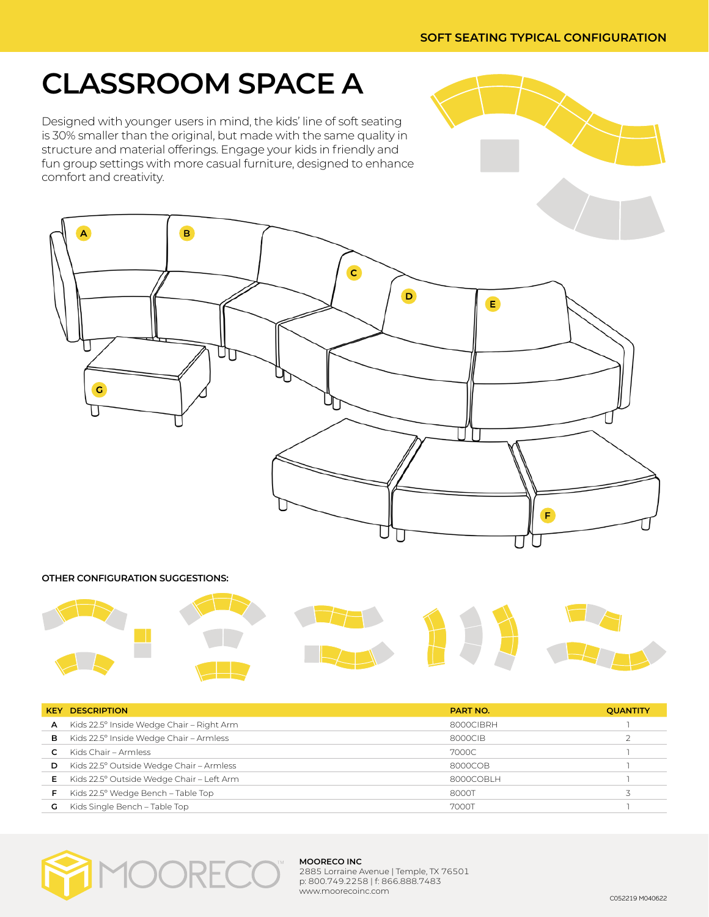## **CLASSROOM SPACE A**

Designed with younger users in mind, the kids' line of soft seating is 30% smaller than the original, but made with the same quality in structure and material offerings. Engage your kids in friendly and fun group settings with more casual furniture, designed to enhance comfort and creativity.



#### **OTHER CONFIGURATION SUGGESTIONS:**



| <b>KEY</b> | <b>DESCRIPTION</b>                        | <b>PART NO.</b> | <b>QUANTITY</b> |
|------------|-------------------------------------------|-----------------|-----------------|
| A          | Kids 22.5° Inside Wedge Chair – Right Arm | 8000CIBRH       |                 |
| в          | Kids 22.5° Inside Wedge Chair - Armless   | 8000CIB         |                 |
|            | Kids Chair – Armless                      | 7000C           |                 |
| D          | Kids 22.5° Outside Wedge Chair - Armless  | 8000COB         |                 |
| Е.         | Kids 22.5° Outside Wedge Chair - Left Arm | 8000COBI H      |                 |
| F          | Kids 22.5° Wedge Bench - Table Top        | 8000T           |                 |
| G          | Kids Single Bench - Table Top             | 7000T           |                 |



#### **MOORECO INC**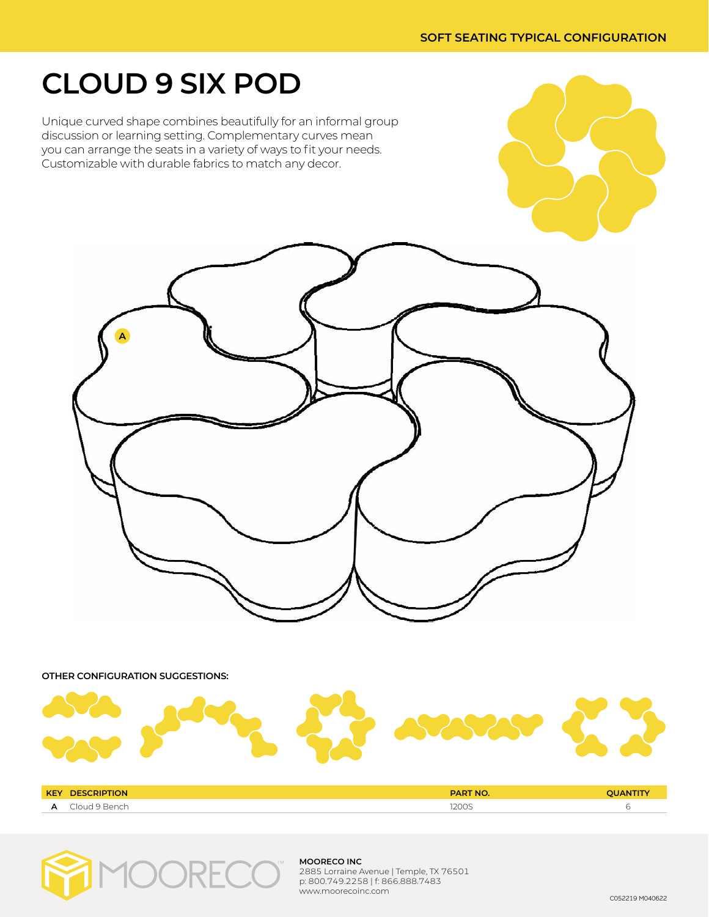## **CLOUD 9 SIX POD**

Unique curved shape combines beautifully for an informal group discussion or learning setting. Complementary curves mean you can arrange the seats in a variety of ways to fit your needs. Customizable with durable fabrics to match any decor.



**OTHER CONFIGURATION SUGGESTIONS:**



| <b>KEY</b> | DES<br>IUN. | <b>PART NO.</b>     |  |
|------------|-------------|---------------------|--|
| <b>.</b>   | או וח'      | 3200<br><b>LOUS</b> |  |



#### **MOORECO INC**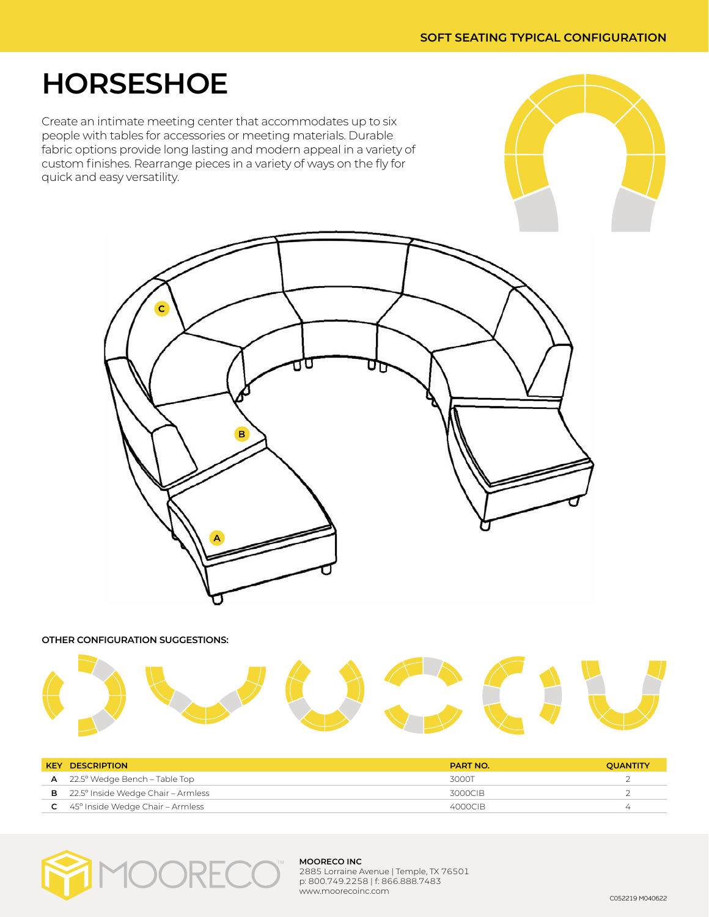## **HORSESHOE**

Create an intimate meeting center that accommodates up to six people with tables for accessories or meeting materials. Durable fabric options provide long lasting and modern appeal in a variety of custom finishes. Rearrange pieces in a variety of ways on the fly for quick and easy versatility.



**OTHER CONFIGURATION SUGGESTIONS:**



| <b>KEY DESCRIPTION</b>                             | <b>PART NO.</b> | <b>OUANTITY</b> |
|----------------------------------------------------|-----------------|-----------------|
| $A$ 22.5° Wedge Bench – Table Top                  | 3000T           |                 |
| <b>B</b> $22.5^\circ$ Inside Wedge Chair – Armless | 3000CIB         |                 |
| $C = 45^\circ$ Inside Wedge Chair – Armless        | 4000CIB         | ∠               |



#### **MOORECO INC**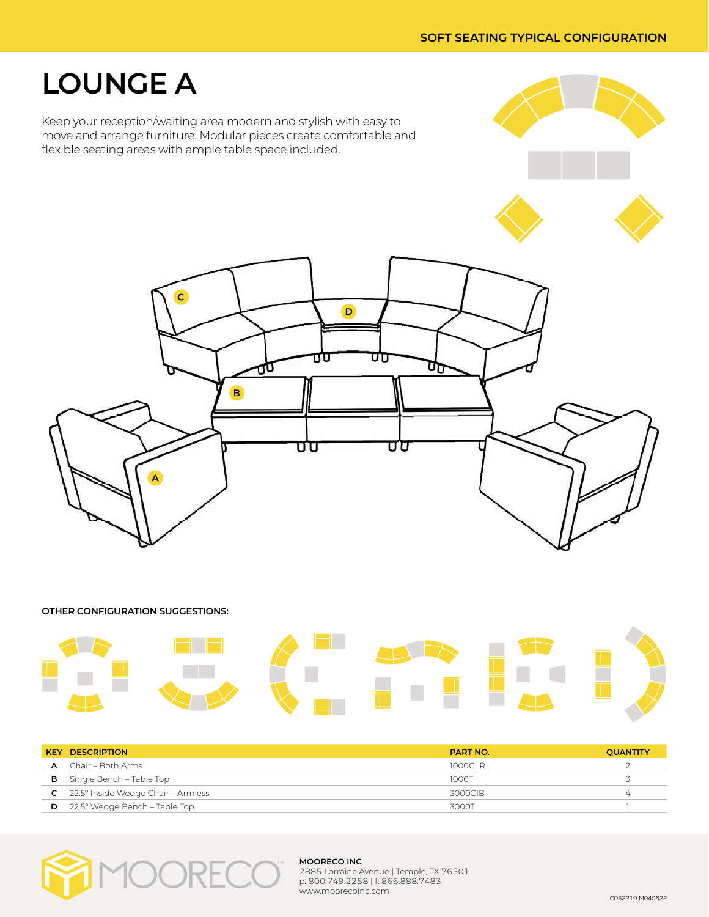## **LOUNGE A**

Keep your reception/waiting area modern and stylish with easy to move and arrange furniture. Modular pieces create comfortable and flexible seating areas with ample table space included.





**OTHER CONFIGURATION SUGGESTIONS:**



| <b>KEY</b> | <b>DESCRIPTION</b>                     | <b>PART NO.</b> | <b>QUANTITY</b> |
|------------|----------------------------------------|-----------------|-----------------|
|            | $\mathsf{A}$ Chair – Both Arms         | 1000CLR         |                 |
|            | <b>B</b> Single Bench – Table Top      | 1000T           |                 |
|            | $C$ 22.5° Inside Wedge Chair – Armless | 3000CIB         |                 |
|            | $D$ 22.5° Wedge Bench – Table Top      | 3000T           |                 |



#### **MOORECO INC**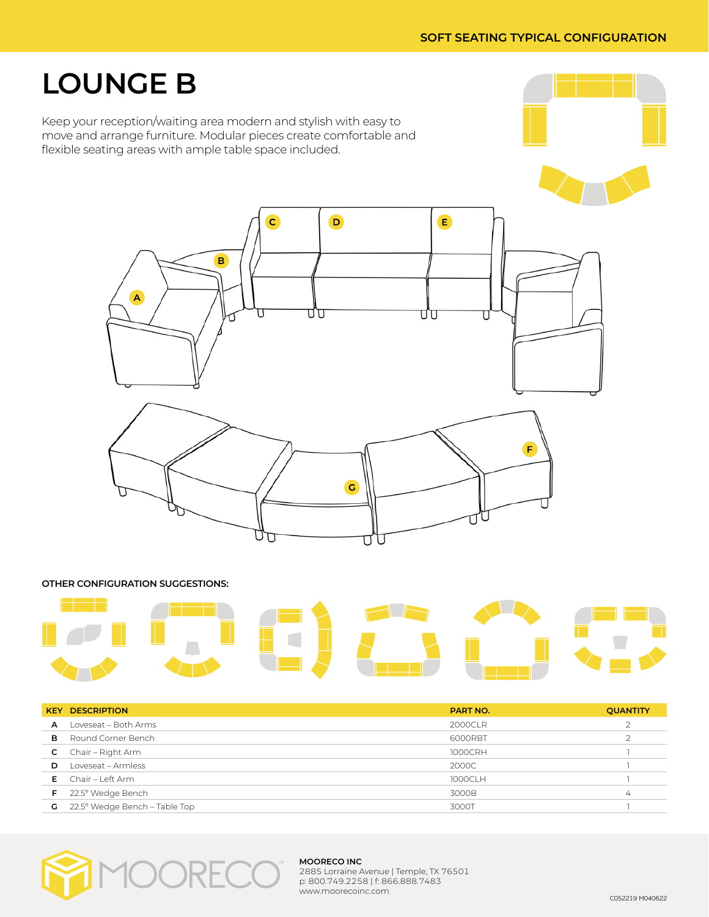## **LOUNGE B**

Keep your reception/waiting area modern and stylish with easy to move and arrange furniture. Modular pieces create comfortable and flexible seating areas with ample table space included.



#### **OTHER CONFIGURATION SUGGESTIONS:**



|    | <b>KEY DESCRIPTION</b>        | <b>PART NO.</b> | <b>QUANTITY</b> |
|----|-------------------------------|-----------------|-----------------|
| A  | Loveseat - Both Arms          | 2000CLR         | $\mathcal{D}$   |
| в  | Round Corner Bench            | 6000RBT         |                 |
| C. | Chair – Right Arm             | 1000CRH         |                 |
| D  | Loveseat - Armless            | 2000C           |                 |
|    | $E$ Chair – Left Arm          | 1000CLH         |                 |
| F. | 22.5° Wedge Bench             | 3000B           | $\overline{4}$  |
| G  | 22.5° Wedge Bench - Table Top | 3000T           |                 |



#### **MOORECO INC**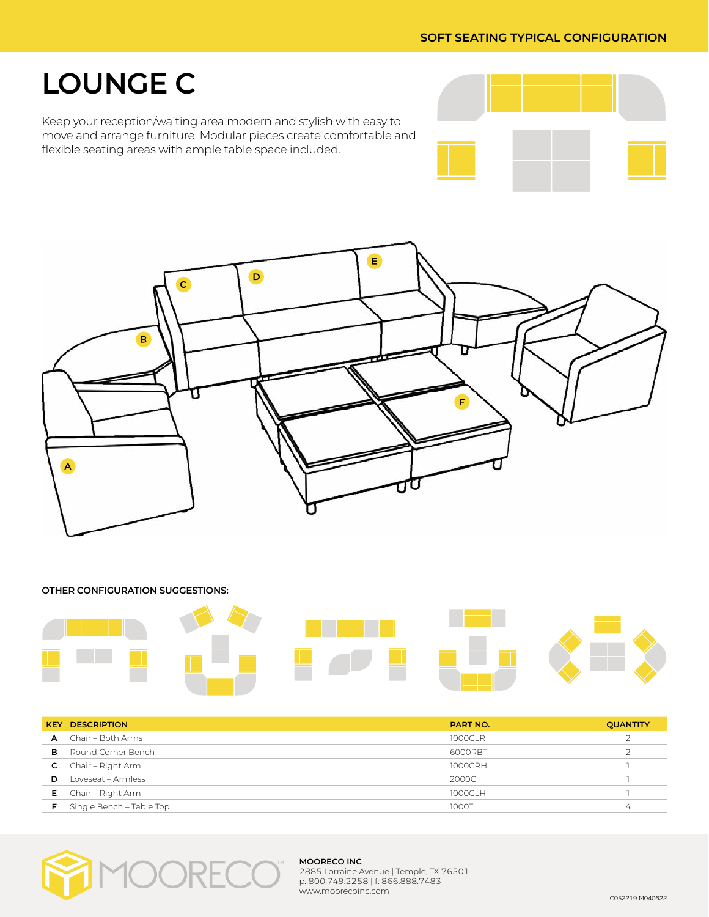## **LOUNGE C**

Keep your reception/waiting area modern and stylish with easy to move and arrange furniture. Modular pieces create comfortable and flexible seating areas with ample table space included.





## **OTHER CONFIGURATION SUGGESTIONS:**

|   | <b>KEY DESCRIPTION</b>       | <b>PART NO.</b> | <b>QUANTITY</b> |
|---|------------------------------|-----------------|-----------------|
|   | <b>A</b> Chair – Both Arms   | 1000CLR         |                 |
| в | Round Corner Bench           | 6000RBT         |                 |
|   | <b>C</b> Chair – Right Arm   | 1000CRH         |                 |
| D | Loveseat - Armless           | 2000C           |                 |
|   | <b>E</b> Chair – Right Arm   | 1000CLH         |                 |
|   | $F$ Single Bench – Table Top | 1000T           | $^{4}$          |



#### **MOORECO INC**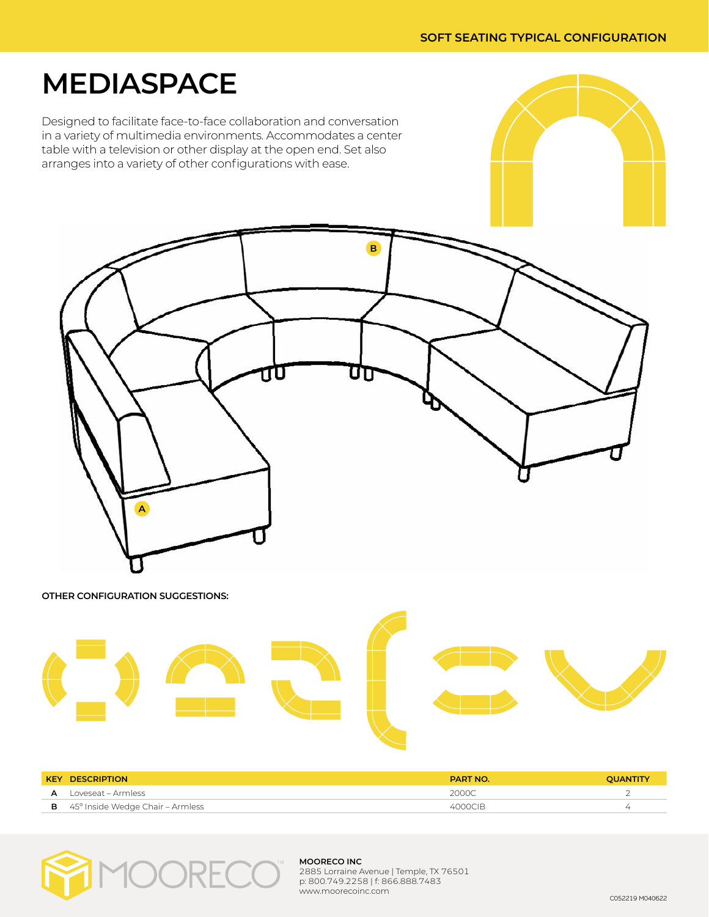## **MEDIASPACE**

Designed to facilitate face-to-face collaboration and conversation in a variety of multimedia environments. Accommodates a center table with a television or other display at the open end. Set also arranges into a variety of other configurations with ease.



| ,, | oveseat<br>Armless<br>. | 2000C |  |
|----|-------------------------|-------|--|
|    |                         |       |  |

**B** 45° Inside Wedge Chair – Armless 4000CIB 4000CIB



#### **MOORECO INC**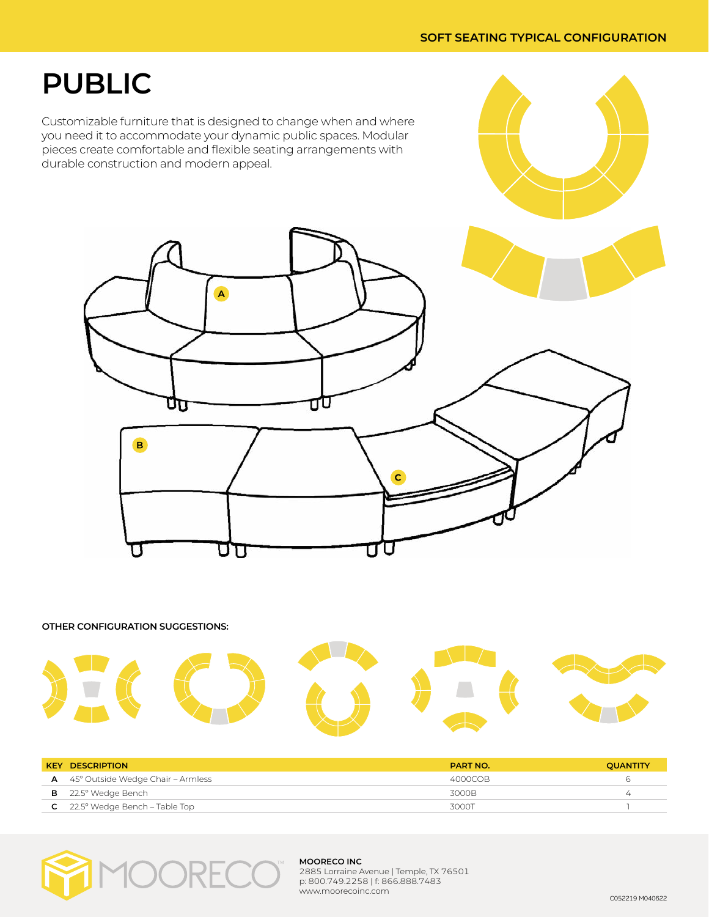## **PUBLIC**

Customizable furniture that is designed to change when and where you need it to accommodate your dynamic public spaces. Modular pieces create comfortable and flexible seating arrangements with durable construction and modern appeal.



**OTHER CONFIGURATION SUGGESTIONS:**



| <b>KEY DESCRIPTION</b>                         | <b>PART NO.</b> | <b>OUANTITY</b> |
|------------------------------------------------|-----------------|-----------------|
| $\mathsf{A}$ 45° Outside Wedge Chair – Armless | 4000COB         | h               |
| $B$ 22.5 $^{\circ}$ Wedge Bench                | 3000B           | ∠               |
| $C = 22.5^\circ$ Wedge Bench – Table Top       | 3000T           |                 |



#### **MOORECO INC**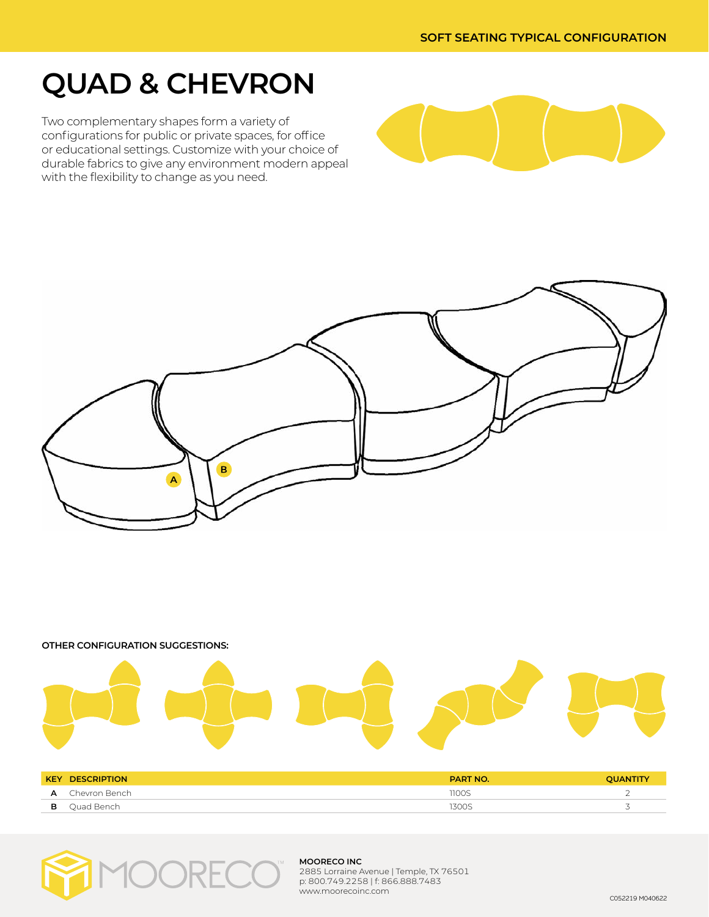## **QUAD & CHEVRON**

Two complementary shapes form a variety of configurations for public or private spaces, for office or educational settings. Customize with your choice of durable fabrics to give any environment modern appeal with the flexibility to change as you need.









**B** Quad Bench 3300S 3300 Server and the server and the server and the server and the server and the server and the server and the server and the server and the server and the server and the server and the server and the s



#### **MOORECO INC**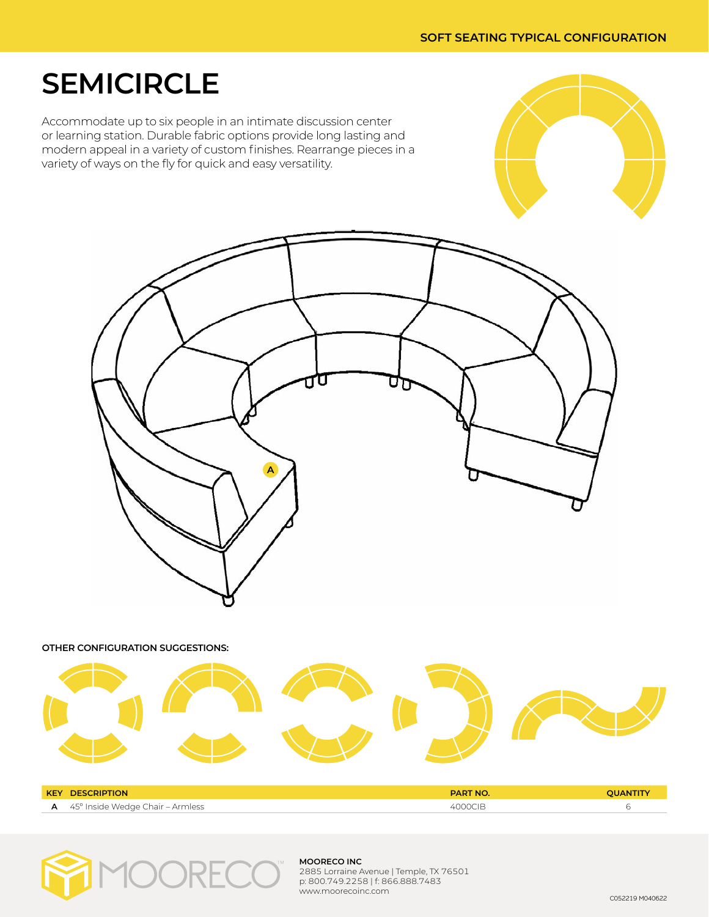## **SEMICIRCLE**

Accommodate up to six people in an intimate discussion center or learning station. Durable fabric options provide long lasting and modern appeal in a variety of custom finishes. Rearrange pieces in a variety of ways on the fly for quick and easy versatility.



**OTHER CONFIGURATION SUGGESTIONS:**



| <b>KEY</b> | <b>DESCRIPTION</b>               | <b>DART</b> |  |
|------------|----------------------------------|-------------|--|
|            | 45° Inside Wedge Chair – Armless |             |  |



#### **MOORECO INC**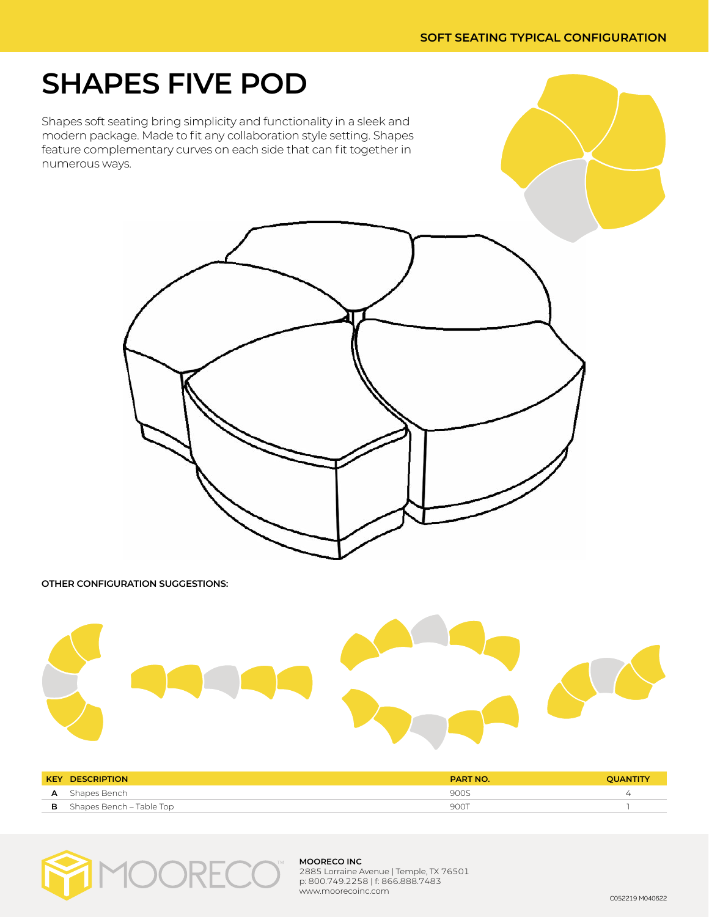## **SHAPES FIVE POD**

Shapes soft seating bring simplicity and functionality in a sleek and modern package. Made to fit any collaboration style setting. Shapes feature complementary curves on each side that can fit together in numerous ways.



#### **OTHER CONFIGURATION SUGGESTIONS:**



| <b>KEY DESCRIPTION</b>            | <b>PART NO.</b> | OUANTITY |
|-----------------------------------|-----------------|----------|
| Shapes Bench                      | 900S            |          |
| <b>B</b> Shapes Bench – Table Top | 900T            |          |



#### **MOORECO INC**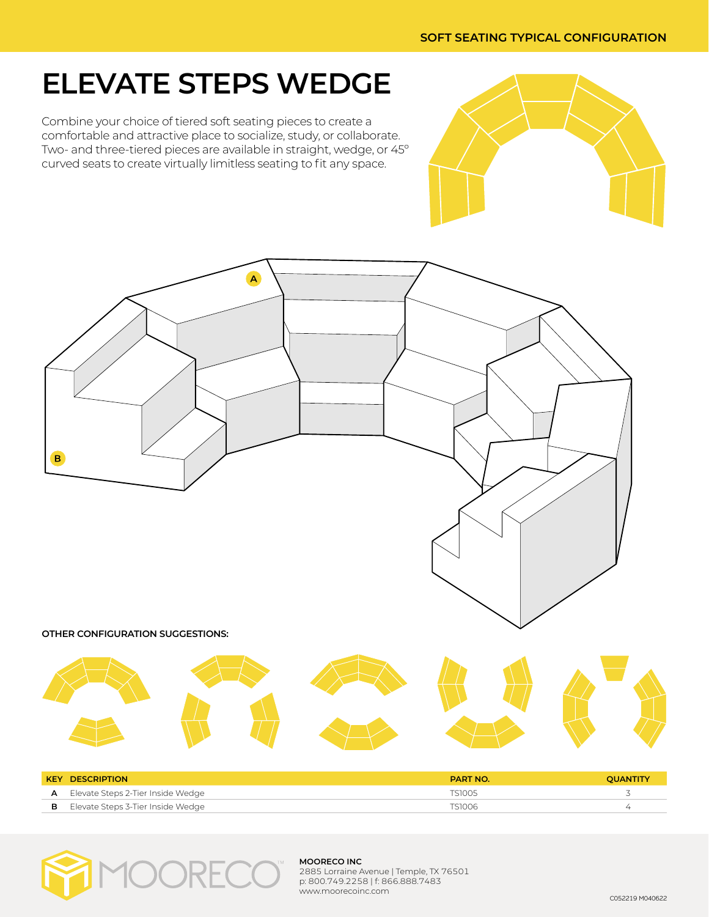## **ELEVATE STEPS WEDGE**

Combine your choice of tiered soft seating pieces to create a comfortable and attractive place to socialize, study, or collaborate. Two- and three-tiered pieces are available in straight, wedge, or 45º curved seats to create virtually limitless seating to fit any space.







#### **MOORECO INC**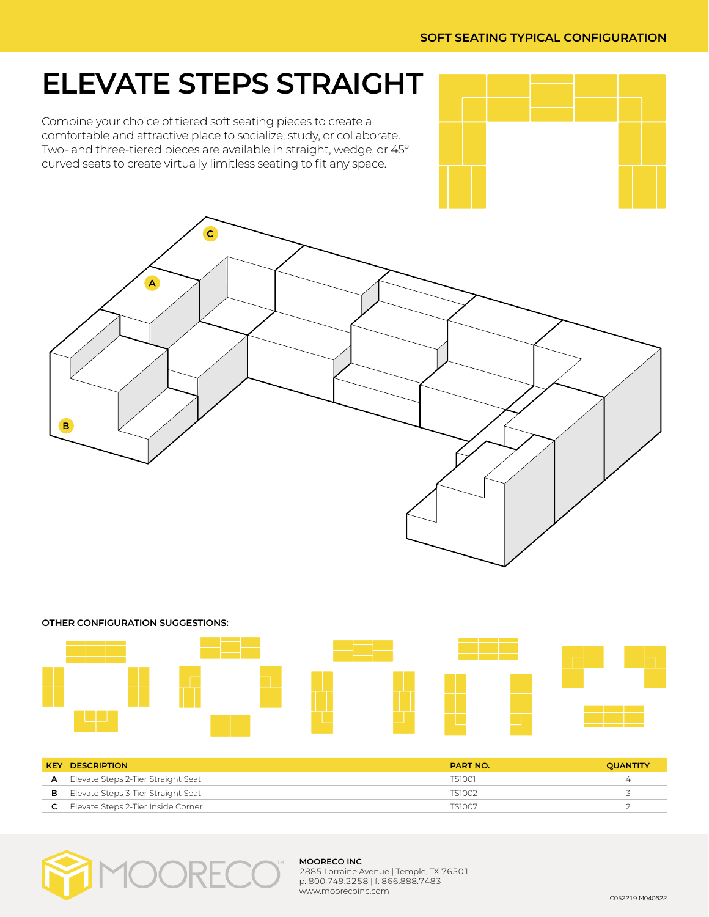## **ELEVATE STEPS STRAIGHT**

Combine your choice of tiered soft seating pieces to create a comfortable and attractive place to socialize, study, or collaborate. Two- and three-tiered pieces are available in straight, wedge, or 45º curved seats to create virtually limitless seating to fit any space.







|   | <b>KEY DESCRIPTION</b>                      | <b>PART NO.</b> | <b>OUANTITY</b> |
|---|---------------------------------------------|-----------------|-----------------|
| А | Elevate Steps 2-Tier Straight Seat          | TS1001          | $\overline{4}$  |
| в | Elevate Steps 3-Tier Straight Seat          | TS1002          |                 |
|   | <b>C</b> Elevate Steps 2-Tier Inside Corner | TS1007          |                 |



#### **MOORECO INC**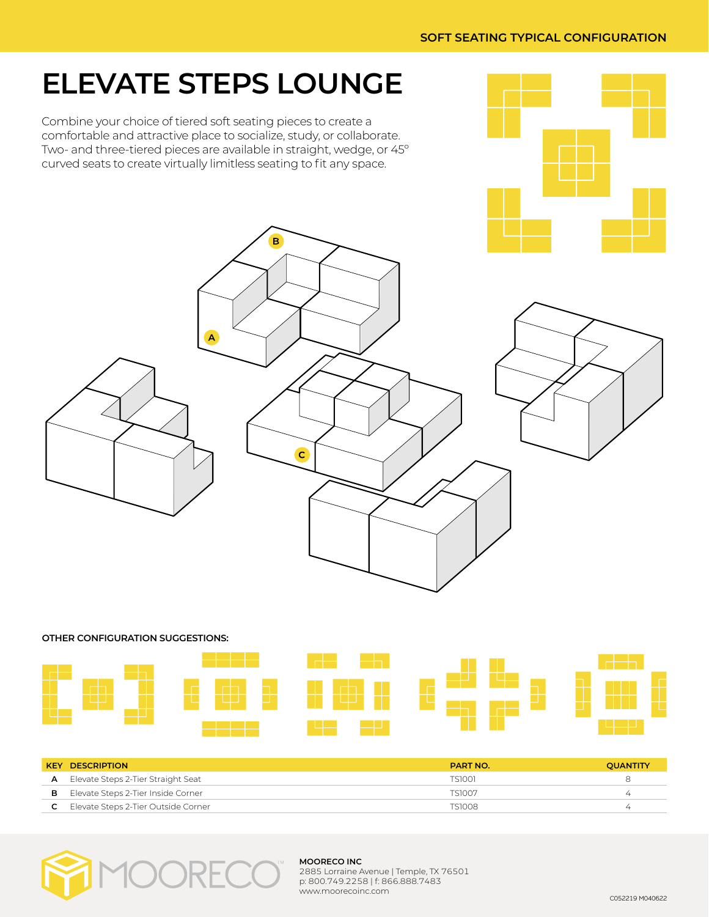## **ELEVATE STEPS LOUNGE**

Combine your choice of tiered soft seating pieces to create a comfortable and attractive place to socialize, study, or collaborate. Two- and three-tiered pieces are available in straight, wedge, or 45º curved seats to create virtually limitless seating to fit any space.

 $\mathbf{B}$ 





**OTHER CONFIGURATION SUGGESTIONS:**



|   | <b>KEY DESCRIPTION</b>              | <b>PART NO.</b> | <b>OUANTITY</b> |
|---|-------------------------------------|-----------------|-----------------|
| A | Elevate Steps 2-Tier Straight Seat  | TS1001          | ∺               |
| в | Elevate Steps 2-Tier Inside Corner  | TS1007          | ∠               |
|   | Elevate Steps 2-Tier Outside Corner | TS1008          | ∠               |



#### **MOORECO INC**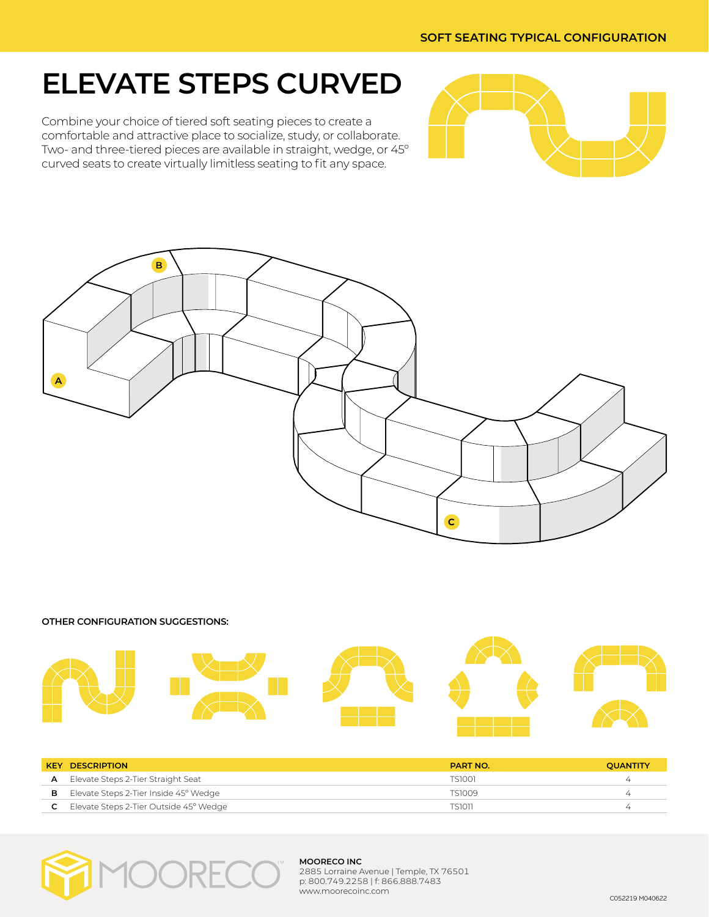#### **SOFT SEATING TYPICAL CONFIGURATION**

## **ELEVATE STEPS CURVED**

Combine your choice of tiered soft seating pieces to create a comfortable and attractive place to socialize, study, or collaborate. Two- and three-tiered pieces are available in straight, wedge, or 45º curved seats to create virtually limitless seating to fit any space.





**OTHER CONFIGURATION SUGGESTIONS:**



|   | <b>KEY DESCRIPTION</b>                 | <b>PART NO.</b> | <b>OUANTITY</b> |
|---|----------------------------------------|-----------------|-----------------|
|   | Elevate Steps 2-Tier Straight Seat     | TS1001          | $\overline{4}$  |
| в | Elevate Steps 2-Tier Inside 45° Wedge  | TS1009          | ∠               |
|   | Elevate Steps 2-Tier Outside 45° Wedge | <b>TS1011</b>   | ∠               |



#### **MOORECO INC**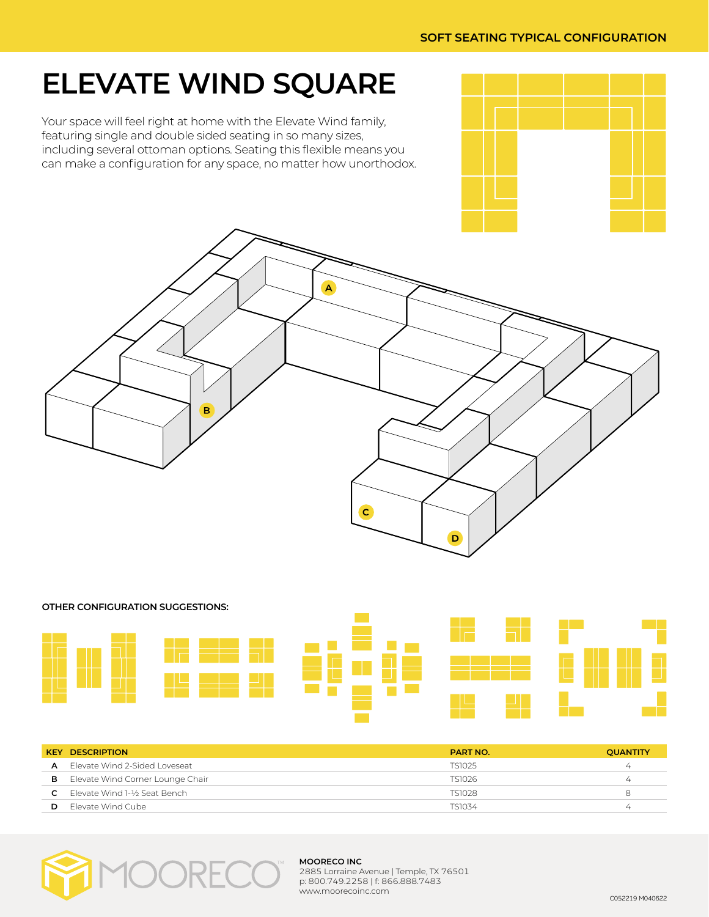## **ELEVATE WIND SQUARE**

Your space will feel right at home with the Elevate Wind family, featuring single and double sided seating in so many sizes, including several ottoman options. Seating this flexible means you can make a configuration for any space, no matter how unorthodox.





# **OTHER CONFIGURATION SUGGESTIONS:**

|    | <b>KEY DESCRIPTION</b>                 | <b>PART NO.</b> | <b>QUANTITY</b> |
|----|----------------------------------------|-----------------|-----------------|
|    | <b>A</b> Flevate Wind 2-Sided Loveseat | TS1025          | ∸               |
| в. | Elevate Wind Corner Lounge Chair       | TS1026          |                 |
|    | Elevate Wind 1-½ Seat Bench            | <b>TS1028</b>   | 8               |
| D  | Flevate Wind Cube                      | TS1034          | $\overline{ }$  |



#### **MOORECO INC**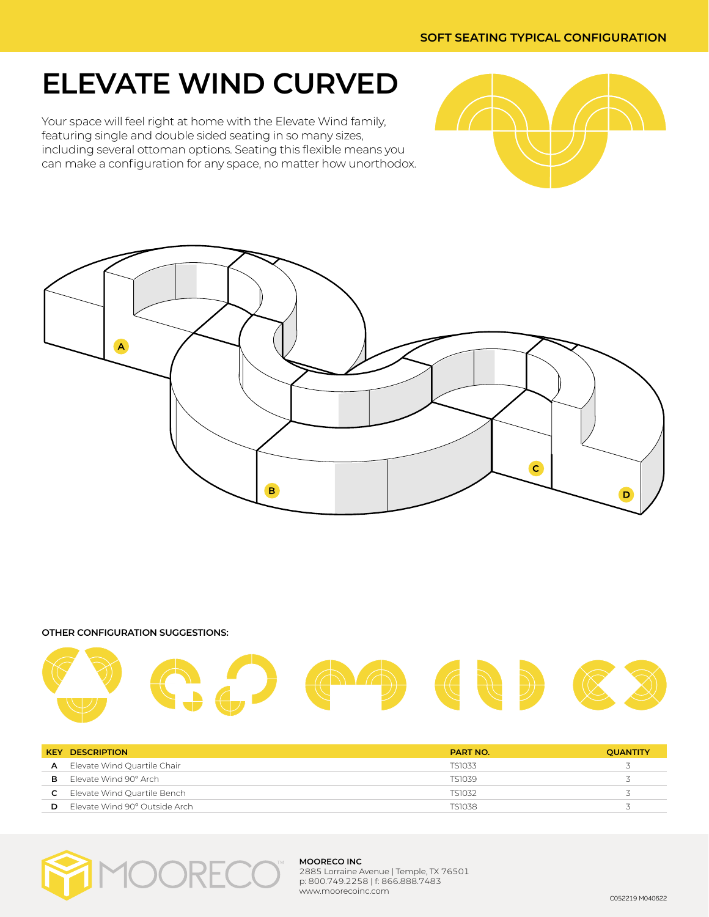## **ELEVATE WIND CURVED**

Your space will feel right at home with the Elevate Wind family, featuring single and double sided seating in so many sizes, including several ottoman options. Seating this flexible means you can make a configuration for any space, no matter how unorthodox.





**OTHER CONFIGURATION SUGGESTIONS:**



|    | <b>KEY DESCRIPTION</b>        | <b>PART NO.</b> | <b>QUANTITY</b> |
|----|-------------------------------|-----------------|-----------------|
| A  | Elevate Wind Quartile Chair   | TS1033          |                 |
| в. | Flevate Wind 90° Arch         | TS1039          |                 |
|    | Elevate Wind Quartile Bench   | TS1032          |                 |
| D  | Elevate Wind 90° Outside Arch | <b>TS1038</b>   |                 |



#### **MOORECO INC**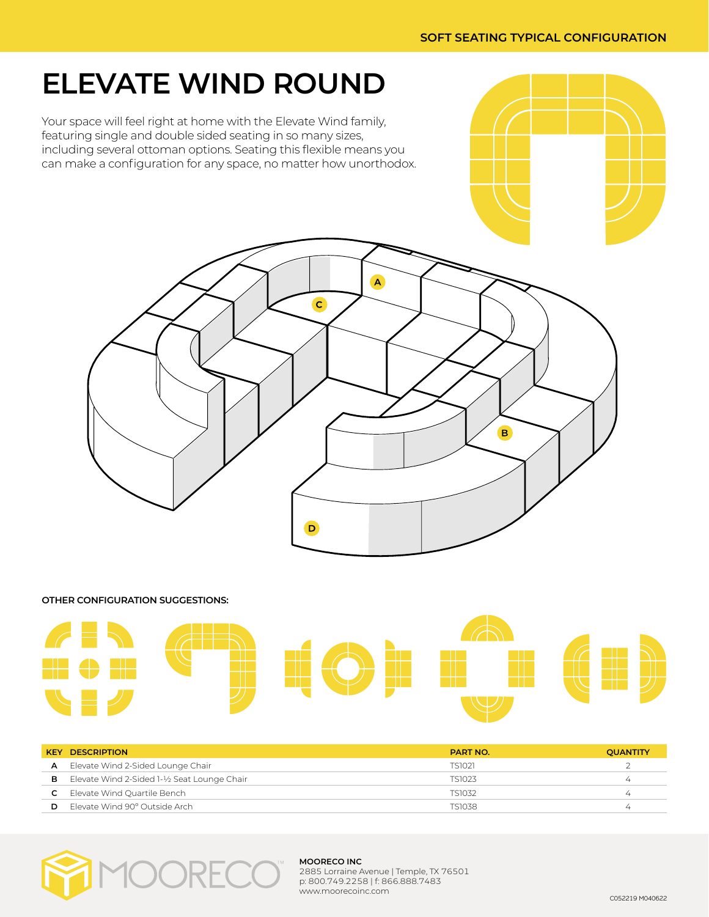## **ELEVATE WIND ROUND**

Your space will feel right at home with the Elevate Wind family, featuring single and double sided seating in so many sizes, including several ottoman options. Seating this flexible means you can make a configuration for any space, no matter how unorthodox.



#### **OTHER CONFIGURATION SUGGESTIONS:**



| <b>KEY</b> | <b>DESCRIPTION</b>                         | <b>PART NO.</b> | <b>QUANTITY</b> |
|------------|--------------------------------------------|-----------------|-----------------|
| A          | Elevate Wind 2-Sided Lounge Chair          | <b>TS1021</b>   |                 |
| в          | Elevate Wind 2-Sided 1-½ Seat Lounge Chair | TS1023          |                 |
|            | Elevate Wind Quartile Bench                | TS1032          | 4               |
| D          | Flevate Wind 90° Outside Arch              | <b>TS1038</b>   |                 |



#### **MOORECO INC**